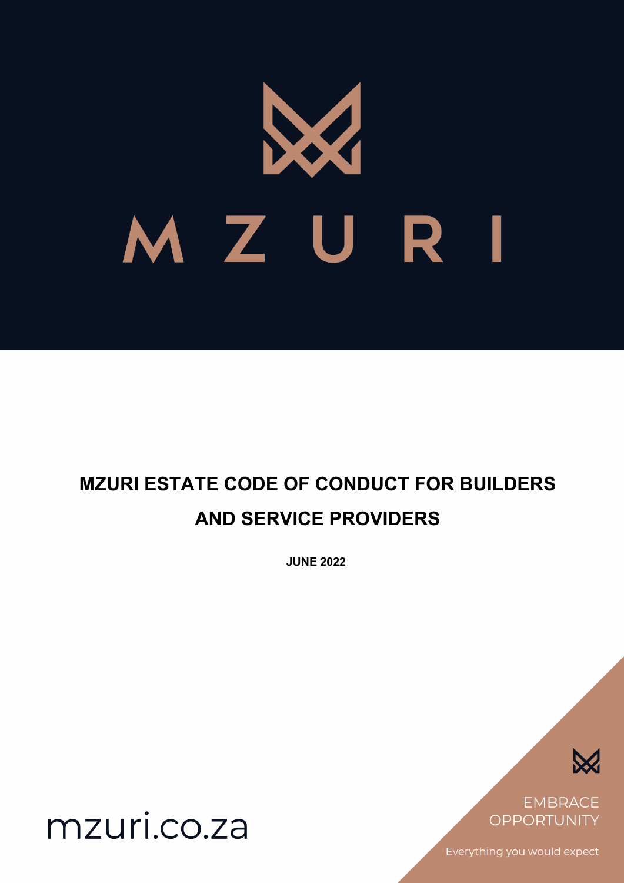

# **MZURI ESTATE CODE OF CONDUCT FOR BUILDERS AND SERVICE PROVIDERS**

**JUNE 2022**



**EMBRACE OPPORTUNITY** 

Everything you would expect

mzuri.co.za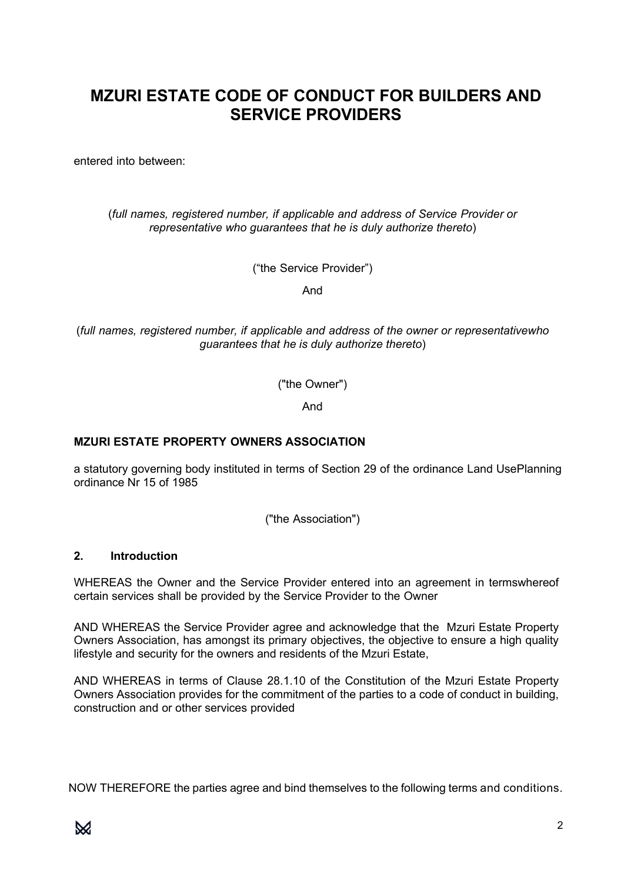# **MZURI ESTATE CODE OF CONDUCT FOR BUILDERS AND SERVICE PROVIDERS**

entered into between:

(*full names, registered number, if applicable and address of Service Provider or representative who guarantees that he is duly authorize thereto*)

("the Service Provider")

And

(*full names, registered number, if applicable and address of the owner or representativewho guarantees that he is duly authorize thereto*)

("the Owner")

And

# **MZURI ESTATE PROPERTY OWNERS ASSOCIATION**

a statutory governing body instituted in terms of Section 29 of the ordinance Land UsePlanning ordinance Nr 15 of 1985

("the Association")

#### **2. Introduction**

WHEREAS the Owner and the Service Provider entered into an agreement in termswhereof certain services shall be provided by the Service Provider to the Owner

AND WHEREAS the Service Provider agree and acknowledge that the Mzuri Estate Property Owners Association, has amongst its primary objectives, the objective to ensure a high quality lifestyle and security for the owners and residents of the Mzuri Estate,

AND WHEREAS in terms of Clause 28.1.10 of the Constitution of the Mzuri Estate Property Owners Association provides for the commitment of the parties to a code of conduct in building, construction and or other services provided

NOW THEREFORE the parties agree and bind themselves to the following terms and conditions.

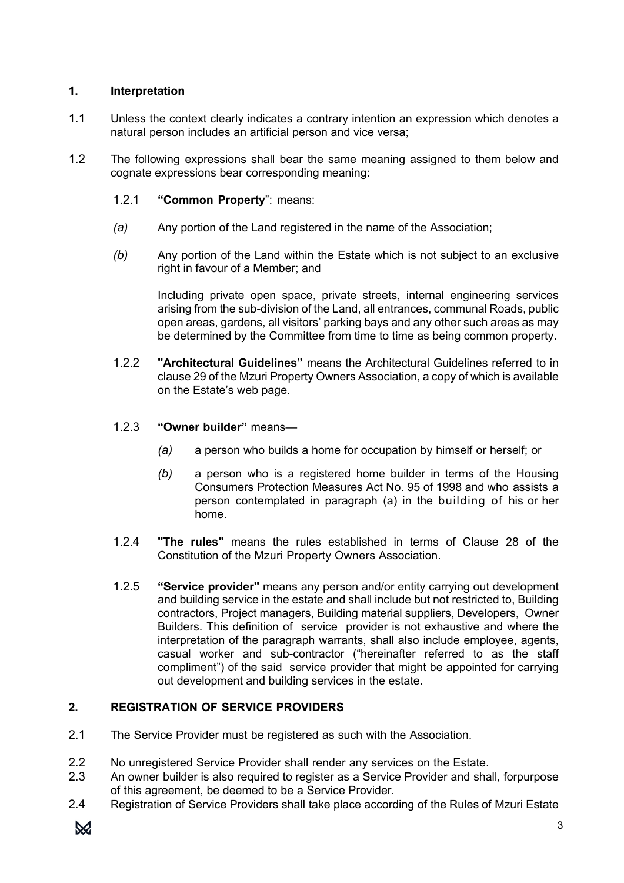# **1. Interpretation**

- 1.1 Unless the context clearly indicates a contrary intention an expression which denotes a natural person includes an artificial person and vice versa;
- 1.2 The following expressions shall bear the same meaning assigned to them below and cognate expressions bear corresponding meaning:
	- 1.2.1 **"Common Property**": means:
	- *(a)* Any portion of the Land registered in the name of the Association;
	- *(b)* Any portion of the Land within the Estate which is not subject to an exclusive right in favour of a Member; and

Including private open space, private streets, internal engineering services arising from the sub-division of the Land, all entrances, communal Roads, public open areas, gardens, all visitors' parking bays and any other such areas as may be determined by the Committee from time to time as being common property.

- 1.2.2 **"Architectural Guidelines"** means the Architectural Guidelines referred to in clause 29 of the Mzuri Property Owners Association, a copy of which is available on the Estate's web page.
- 1.2.3 **"Owner builder"** means—
	- *(a)* a person who builds a home for occupation by himself or herself; or
	- *(b)* a person who is a registered home builder in terms of the Housing Consumers Protection Measures Act No. 95 of 1998 and who assists a person contemplated in paragraph (a) in the building of his or her home.
- 1.2.4 **"The rules"** means the rules established in terms of Clause 28 of the Constitution of the Mzuri Property Owners Association.
- 1.2.5 **"Service provider"** means any person and/or entity carrying out development and building service in the estate and shall include but not restricted to, Building contractors, Project managers, Building material suppliers, Developers, Owner Builders. This definition of service provider is not exhaustive and where the interpretation of the paragraph warrants, shall also include employee, agents, casual worker and sub-contractor ("hereinafter referred to as the staff compliment") of the said service provider that might be appointed for carrying out development and building services in the estate.

# **2. REGISTRATION OF SERVICE PROVIDERS**

- 2.1 The Service Provider must be registered as such with the Association.
- 2.2 No unregistered Service Provider shall render any services on the Estate.
- 2.3 An owner builder is also required to register as a Service Provider and shall, forpurpose of this agreement, be deemed to be a Service Provider.
- 2.4 Registration of Service Providers shall take place according of the Rules of Mzuri Estate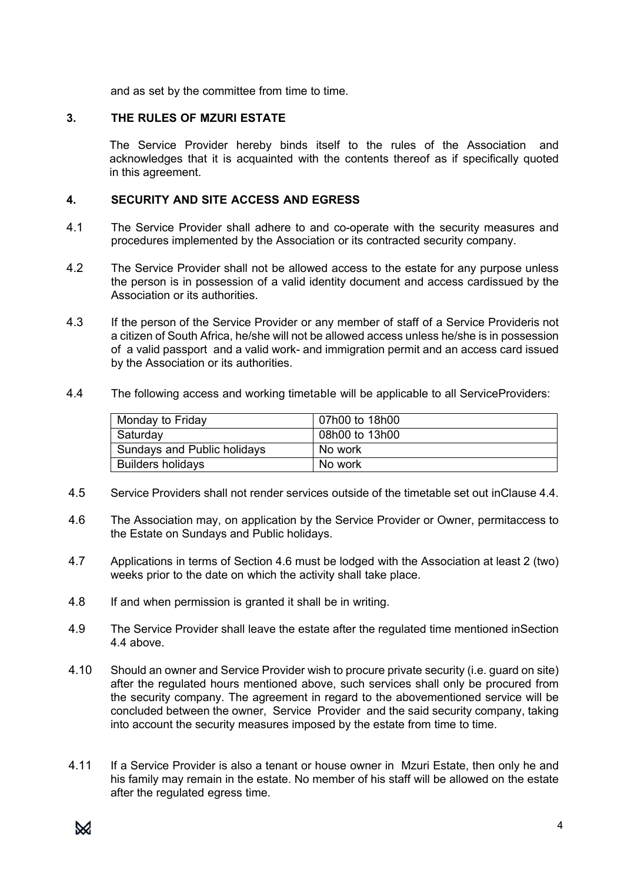and as set by the committee from time to time.

# **3. THE RULES OF MZURI ESTATE**

The Service Provider hereby binds itself to the rules of the Association and acknowledges that it is acquainted with the contents thereof as if specifically quoted in this agreement.

#### **4. SECURITY AND SITE ACCESS AND EGRESS**

- 4.1 The Service Provider shall adhere to and co-operate with the security measures and procedures implemented by the Association or its contracted security company.
- 4.2 The Service Provider shall not be allowed access to the estate for any purpose unless the person is in possession of a valid identity document and access cardissued by the Association or its authorities.
- 4.3 If the person of the Service Provider or any member of staff of a Service Provideris not a citizen of South Africa, he/she will not be allowed access unless he/she is in possession of a valid passport and a valid work- and immigration permit and an access card issued by the Association or its authorities.
- 4.4 The following access and working timetable will be applicable to all ServiceProviders:

| Monday to Friday            | 07h00 to 18h00 |
|-----------------------------|----------------|
| Saturday                    | 08h00 to 13h00 |
| Sundays and Public holidays | No work        |
| <b>Builders holidays</b>    | No work        |

- 4.5 Service Providers shall not render services outside of the timetable set out inClause 4.4.
- 4.6 The Association may, on application by the Service Provider or Owner, permitaccess to the Estate on Sundays and Public holidays.
- 4.7 Applications in terms of Section 4.6 must be lodged with the Association at least 2 (two) weeks prior to the date on which the activity shall take place.
- 4.8 If and when permission is granted it shall be in writing.
- 4.9 The Service Provider shall leave the estate after the regulated time mentioned inSection 4.4 above.
- 4.10 Should an owner and Service Provider wish to procure private security (i.e. guard on site) after the regulated hours mentioned above, such services shall only be procured from the security company. The agreement in regard to the abovementioned service will be concluded between the owner, Service Provider and the said security company, taking into account the security measures imposed by the estate from time to time.
- 4.11 If a Service Provider is also a tenant or house owner in Mzuri Estate, then only he and his family may remain in the estate. No member of his staff will be allowed on the estate after the regulated egress time.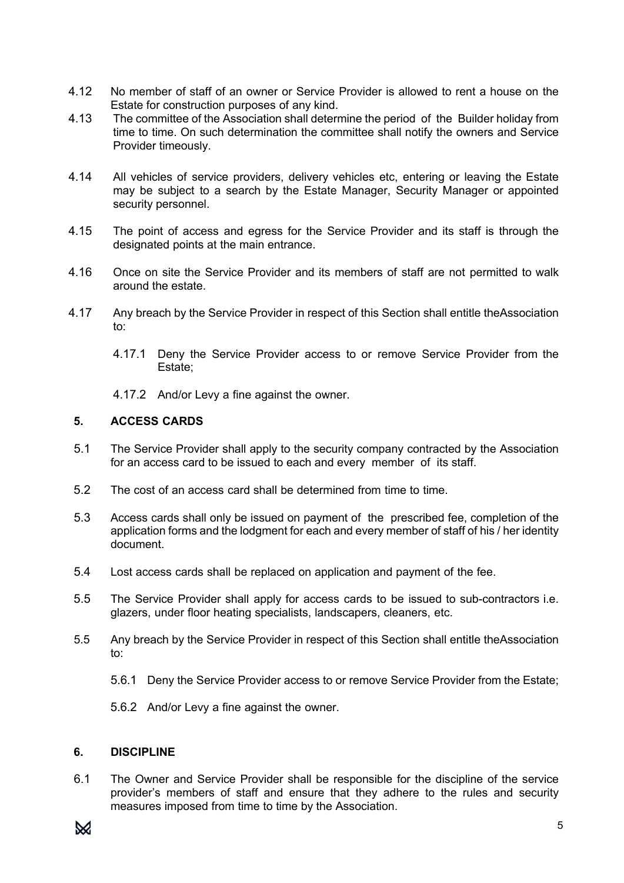- 4.12 No member of staff of an owner or Service Provider is allowed to rent a house on the Estate for construction purposes of any kind.
- 4.13 The committee of the Association shall determine the period of the Builder holiday from time to time. On such determination the committee shall notify the owners and Service Provider timeously.
- 4.14 All vehicles of service providers, delivery vehicles etc, entering or leaving the Estate may be subject to a search by the Estate Manager, Security Manager or appointed security personnel.
- 4.15 The point of access and egress for the Service Provider and its staff is through the designated points at the main entrance.
- 4.16 Once on site the Service Provider and its members of staff are not permitted to walk around the estate.
- 4.17 Any breach by the Service Provider in respect of this Section shall entitle theAssociation  $t^{\circ}$ 
	- 4.17.1 Deny the Service Provider access to or remove Service Provider from the Estate;
	- 4.17.2 And/or Levy a fine against the owner.

# **5. ACCESS CARDS**

- 5.1 The Service Provider shall apply to the security company contracted by the Association for an access card to be issued to each and every member of its staff.
- 5.2 The cost of an access card shall be determined from time to time.
- 5.3 Access cards shall only be issued on payment of the prescribed fee, completion of the application forms and the lodgment for each and every member of staff of his / her identity document.
- 5.4 Lost access cards shall be replaced on application and payment of the fee.
- 5.5 The Service Provider shall apply for access cards to be issued to sub-contractors i.e. glazers, under floor heating specialists, landscapers, cleaners, etc.
- 5.5 Any breach by the Service Provider in respect of this Section shall entitle theAssociation to:
	- 5.6.1 Deny the Service Provider access to or remove Service Provider from the Estate;
	- 5.6.2 And/or Levy a fine against the owner.

# **6. DISCIPLINE**

6.1 The Owner and Service Provider shall be responsible for the discipline of the service provider's members of staff and ensure that they adhere to the rules and security measures imposed from time to time by the Association.

# $\bowtie$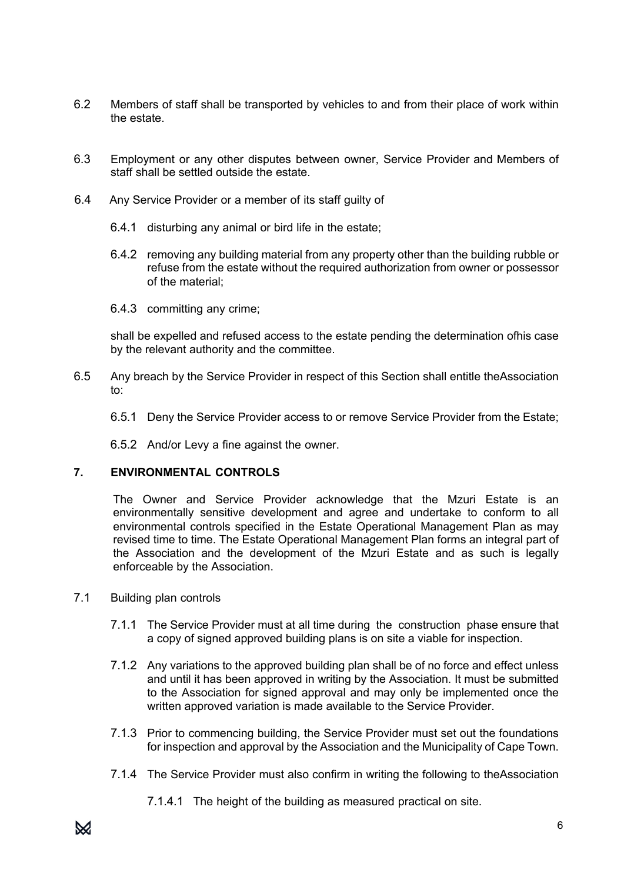- 6.2 Members of staff shall be transported by vehicles to and from their place of work within the estate.
- 6.3 Employment or any other disputes between owner, Service Provider and Members of staff shall be settled outside the estate.
- 6.4 Any Service Provider or a member of its staff guilty of
	- 6.4.1 disturbing any animal or bird life in the estate;
	- 6.4.2 removing any building material from any property other than the building rubble or refuse from the estate without the required authorization from owner or possessor of the material;
	- 6.4.3 committing any crime;

shall be expelled and refused access to the estate pending the determination ofhis case by the relevant authority and the committee.

- 6.5 Any breach by the Service Provider in respect of this Section shall entitle theAssociation to:
	- 6.5.1 Deny the Service Provider access to or remove Service Provider from the Estate;

6.5.2 And/or Levy a fine against the owner.

# **7. ENVIRONMENTAL CONTROLS**

The Owner and Service Provider acknowledge that the Mzuri Estate is an environmentally sensitive development and agree and undertake to conform to all environmental controls specified in the Estate Operational Management Plan as may revised time to time. The Estate Operational Management Plan forms an integral part of the Association and the development of the Mzuri Estate and as such is legally enforceable by the Association.

- 7.1 Building plan controls
	- 7.1.1 The Service Provider must at all time during the construction phase ensure that a copy of signed approved building plans is on site a viable for inspection.
	- 7.1.2 Any variations to the approved building plan shall be of no force and effect unless and until it has been approved in writing by the Association. It must be submitted to the Association for signed approval and may only be implemented once the written approved variation is made available to the Service Provider.
	- 7.1.3 Prior to commencing building, the Service Provider must set out the foundations for inspection and approval by the Association and the Municipality of Cape Town.
	- 7.1.4 The Service Provider must also confirm in writing the following to theAssociation
		- 7.1.4.1 The height of the building as measured practical on site.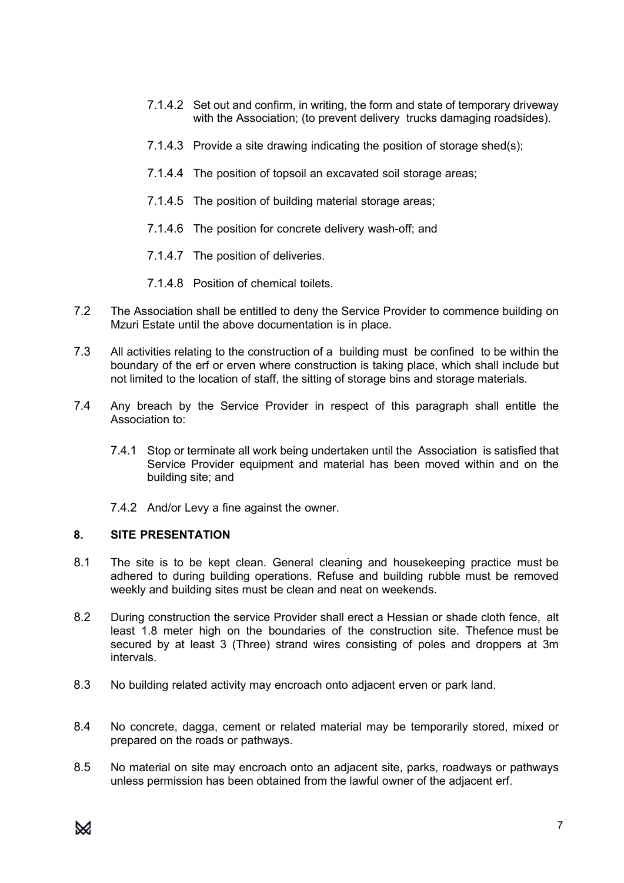- 7.1.4.2 Set out and confirm, in writing, the form and state of temporary driveway with the Association; (to prevent delivery trucks damaging roadsides).
- 7.1.4.3 Provide a site drawing indicating the position of storage shed(s);
- 7.1.4.4 The position of topsoil an excavated soil storage areas;
- 7.1.4.5 The position of building material storage areas;
- 7.1.4.6 The position for concrete delivery wash-off; and
- 7.1.4.7 The position of deliveries.
- 7.1.4.8 Position of chemical toilets.
- 7.2 The Association shall be entitled to deny the Service Provider to commence building on Mzuri Estate until the above documentation is in place.
- 7.3 All activities relating to the construction of a building must be confined to be within the boundary of the erf or erven where construction is taking place, which shall include but not limited to the location of staff, the sitting of storage bins and storage materials.
- 7.4 Any breach by the Service Provider in respect of this paragraph shall entitle the Association to:
	- 7.4.1 Stop or terminate all work being undertaken until the Association is satisfied that Service Provider equipment and material has been moved within and on the building site; and
	- 7.4.2 And/or Levy a fine against the owner.

#### **8. SITE PRESENTATION**

- 8.1 The site is to be kept clean. General cleaning and housekeeping practice must be adhered to during building operations. Refuse and building rubble must be removed weekly and building sites must be clean and neat on weekends.
- 8.2 During construction the service Provider shall erect a Hessian or shade cloth fence, alt least 1.8 meter high on the boundaries of the construction site. Thefence must be secured by at least 3 (Three) strand wires consisting of poles and droppers at 3m intervals.
- 8.3 No building related activity may encroach onto adjacent erven or park land.
- 8.4 No concrete, dagga, cement or related material may be temporarily stored, mixed or prepared on the roads or pathways.
- 8.5 No material on site may encroach onto an adjacent site, parks, roadways or pathways unless permission has been obtained from the lawful owner of the adjacent erf.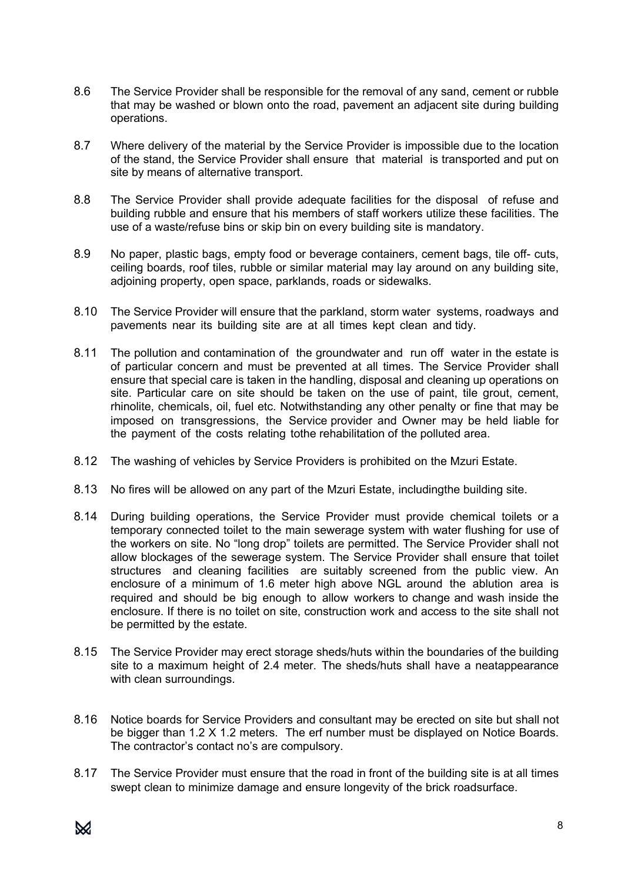- 8.6 The Service Provider shall be responsible for the removal of any sand, cement or rubble that may be washed or blown onto the road, pavement an adjacent site during building operations.
- 8.7 Where delivery of the material by the Service Provider is impossible due to the location of the stand, the Service Provider shall ensure that material is transported and put on site by means of alternative transport.
- 8.8 The Service Provider shall provide adequate facilities for the disposal of refuse and building rubble and ensure that his members of staff workers utilize these facilities. The use of a waste/refuse bins or skip bin on every building site is mandatory.
- 8.9 No paper, plastic bags, empty food or beverage containers, cement bags, tile off- cuts, ceiling boards, roof tiles, rubble or similar material may lay around on any building site, adjoining property, open space, parklands, roads or sidewalks.
- 8.10 The Service Provider will ensure that the parkland, storm water systems, roadways and pavements near its building site are at all times kept clean and tidy.
- 8.11 The pollution and contamination of the groundwater and run off water in the estate is of particular concern and must be prevented at all times. The Service Provider shall ensure that special care is taken in the handling, disposal and cleaning up operations on site. Particular care on site should be taken on the use of paint, tile grout, cement, rhinolite, chemicals, oil, fuel etc. Notwithstanding any other penalty or fine that may be imposed on transgressions, the Service provider and Owner may be held liable for the payment of the costs relating tothe rehabilitation of the polluted area.
- 8.12 The washing of vehicles by Service Providers is prohibited on the Mzuri Estate.
- 8.13 No fires will be allowed on any part of the Mzuri Estate, includingthe building site.
- 8.14 During building operations, the Service Provider must provide chemical toilets or a temporary connected toilet to the main sewerage system with water flushing for use of the workers on site. No "long drop" toilets are permitted. The Service Provider shall not allow blockages of the sewerage system. The Service Provider shall ensure that toilet structures and cleaning facilities are suitably screened from the public view. An enclosure of a minimum of 1.6 meter high above NGL around the ablution area is required and should be big enough to allow workers to change and wash inside the enclosure. If there is no toilet on site, construction work and access to the site shall not be permitted by the estate.
- 8.15 The Service Provider may erect storage sheds/huts within the boundaries of the building site to a maximum height of 2.4 meter. The sheds/huts shall have a neatappearance with clean surroundings.
- 8.16 Notice boards for Service Providers and consultant may be erected on site but shall not be bigger than 1.2 X 1.2 meters. The erf number must be displayed on Notice Boards. The contractor's contact no's are compulsory.
- 8.17 The Service Provider must ensure that the road in front of the building site is at all times swept clean to minimize damage and ensure longevity of the brick roadsurface.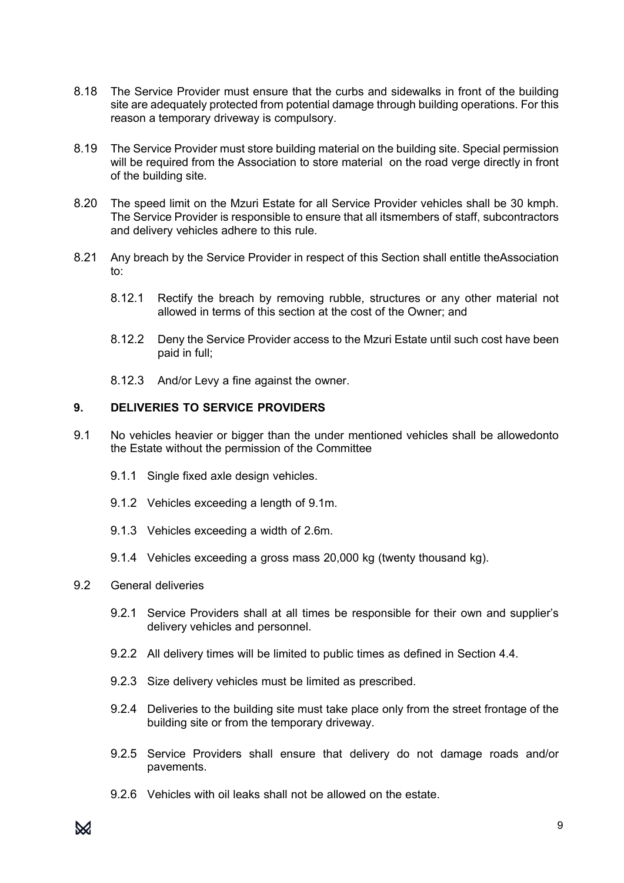- 8.18 The Service Provider must ensure that the curbs and sidewalks in front of the building site are adequately protected from potential damage through building operations. For this reason a temporary driveway is compulsory.
- 8.19 The Service Provider must store building material on the building site. Special permission will be required from the Association to store material on the road verge directly in front of the building site.
- 8.20 The speed limit on the Mzuri Estate for all Service Provider vehicles shall be 30 kmph. The Service Provider is responsible to ensure that all itsmembers of staff, subcontractors and delivery vehicles adhere to this rule.
- 8.21 Any breach by the Service Provider in respect of this Section shall entitle theAssociation to:
	- 8.12.1 Rectify the breach by removing rubble, structures or any other material not allowed in terms of this section at the cost of the Owner; and
	- 8.12.2 Deny the Service Provider access to the Mzuri Estate until such cost have been paid in full;
	- 8.12.3 And/or Levy a fine against the owner.

# **9. DELIVERIES TO SERVICE PROVIDERS**

- 9.1 No vehicles heavier or bigger than the under mentioned vehicles shall be allowedonto the Estate without the permission of the Committee
	- 9.1.1 Single fixed axle design vehicles.
	- 9.1.2 Vehicles exceeding a length of 9.1m.
	- 9.1.3 Vehicles exceeding a width of 2.6m.
	- 9.1.4 Vehicles exceeding a gross mass 20,000 kg (twenty thousand kg).

# 9.2 General deliveries

- 9.2.1 Service Providers shall at all times be responsible for their own and supplier's delivery vehicles and personnel.
- 9.2.2 All delivery times will be limited to public times as defined in Section 4.4.
- 9.2.3 Size delivery vehicles must be limited as prescribed.
- 9.2.4 Deliveries to the building site must take place only from the street frontage of the building site or from the temporary driveway.
- 9.2.5 Service Providers shall ensure that delivery do not damage roads and/or pavements.
- 9.2.6 Vehicles with oil leaks shall not be allowed on the estate.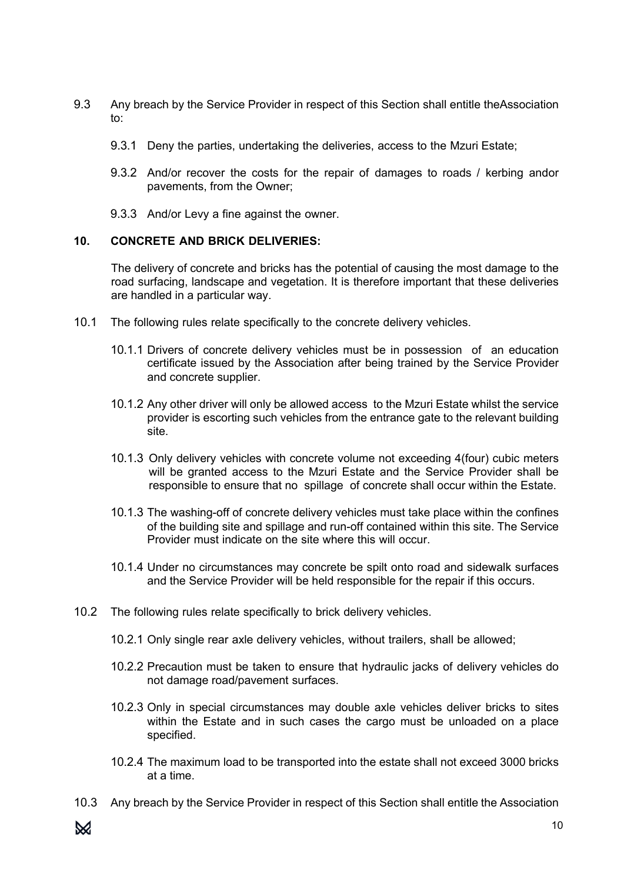- 9.3 Any breach by the Service Provider in respect of this Section shall entitle theAssociation to:
	- 9.3.1 Deny the parties, undertaking the deliveries, access to the Mzuri Estate;
	- 9.3.2 And/or recover the costs for the repair of damages to roads / kerbing andor pavements, from the Owner;
	- 9.3.3 And/or Levy a fine against the owner.

#### **10. CONCRETE AND BRICK DELIVERIES:**

The delivery of concrete and bricks has the potential of causing the most damage to the road surfacing, landscape and vegetation. It is therefore important that these deliveries are handled in a particular way.

- 10.1 The following rules relate specifically to the concrete delivery vehicles.
	- 10.1.1 Drivers of concrete delivery vehicles must be in possession of an education certificate issued by the Association after being trained by the Service Provider and concrete supplier.
	- 10.1.2 Any other driver will only be allowed access to the Mzuri Estate whilst the service provider is escorting such vehicles from the entrance gate to the relevant building site.
	- 10.1.3 Only delivery vehicles with concrete volume not exceeding 4(four) cubic meters will be granted access to the Mzuri Estate and the Service Provider shall be responsible to ensure that no spillage of concrete shall occur within the Estate.
	- 10.1.3 The washing-off of concrete delivery vehicles must take place within the confines of the building site and spillage and run-off contained within this site. The Service Provider must indicate on the site where this will occur.
	- 10.1.4 Under no circumstances may concrete be spilt onto road and sidewalk surfaces and the Service Provider will be held responsible for the repair if this occurs.
- 10.2 The following rules relate specifically to brick delivery vehicles.
	- 10.2.1 Only single rear axle delivery vehicles, without trailers, shall be allowed;
	- 10.2.2 Precaution must be taken to ensure that hydraulic jacks of delivery vehicles do not damage road/pavement surfaces.
	- 10.2.3 Only in special circumstances may double axle vehicles deliver bricks to sites within the Estate and in such cases the cargo must be unloaded on a place specified.
	- 10.2.4 The maximum load to be transported into the estate shall not exceed 3000 bricks at a time.
- 10.3 Any breach by the Service Provider in respect of this Section shall entitle the Association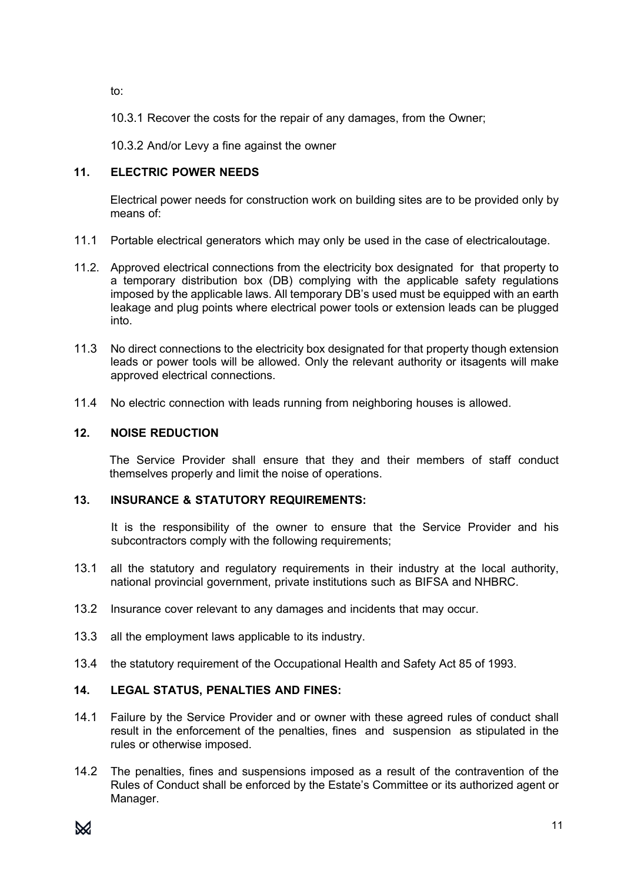to:

10.3.1 Recover the costs for the repair of any damages, from the Owner;

10.3.2 And/or Levy a fine against the owner

# **11. ELECTRIC POWER NEEDS**

Electrical power needs for construction work on building sites are to be provided only by means of:

- 11.1 Portable electrical generators which may only be used in the case of electricaloutage.
- 11.2. Approved electrical connections from the electricity box designated for that property to a temporary distribution box (DB) complying with the applicable safety regulations imposed by the applicable laws. All temporary DB's used must be equipped with an earth leakage and plug points where electrical power tools or extension leads can be plugged into.
- 11.3 No direct connections to the electricity box designated for that property though extension leads or power tools will be allowed. Only the relevant authority or itsagents will make approved electrical connections.
- 11.4 No electric connection with leads running from neighboring houses is allowed.

# **12. NOISE REDUCTION**

The Service Provider shall ensure that they and their members of staff conduct themselves properly and limit the noise of operations.

# **13. INSURANCE & STATUTORY REQUIREMENTS:**

It is the responsibility of the owner to ensure that the Service Provider and his subcontractors comply with the following requirements;

- 13.1 all the statutory and regulatory requirements in their industry at the local authority, national provincial government, private institutions such as BIFSA and NHBRC.
- 13.2 Insurance cover relevant to any damages and incidents that may occur.
- 13.3 all the employment laws applicable to its industry.
- 13.4 the statutory requirement of the Occupational Health and Safety Act 85 of 1993.

# **14. LEGAL STATUS, PENALTIES AND FINES:**

- 14.1 Failure by the Service Provider and or owner with these agreed rules of conduct shall result in the enforcement of the penalties, fines and suspension as stipulated in the rules or otherwise imposed.
- 14.2 The penalties, fines and suspensions imposed as a result of the contravention of the Rules of Conduct shall be enforced by the Estate's Committee or its authorized agent or Manager.

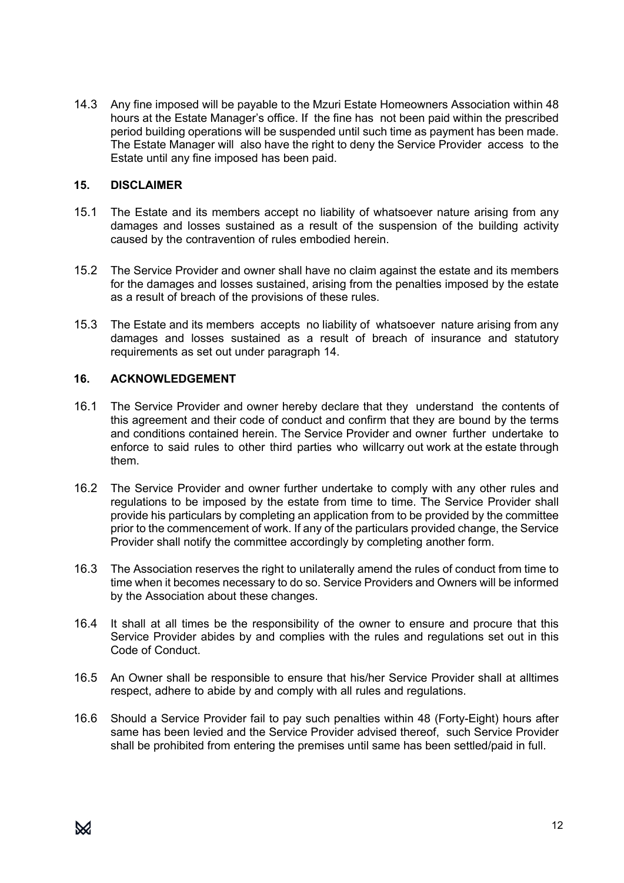14.3 Any fine imposed will be payable to the Mzuri Estate Homeowners Association within 48 hours at the Estate Manager's office. If the fine has not been paid within the prescribed period building operations will be suspended until such time as payment has been made. The Estate Manager will also have the right to deny the Service Provider access to the Estate until any fine imposed has been paid.

# **15. DISCLAIMER**

- 15.1 The Estate and its members accept no liability of whatsoever nature arising from any damages and losses sustained as a result of the suspension of the building activity caused by the contravention of rules embodied herein.
- 15.2 The Service Provider and owner shall have no claim against the estate and its members for the damages and losses sustained, arising from the penalties imposed by the estate as a result of breach of the provisions of these rules.
- 15.3 The Estate and its members accepts no liability of whatsoever nature arising from any damages and losses sustained as a result of breach of insurance and statutory requirements as set out under paragraph 14.

# **16. ACKNOWLEDGEMENT**

- 16.1 The Service Provider and owner hereby declare that they understand the contents of this agreement and their code of conduct and confirm that they are bound by the terms and conditions contained herein. The Service Provider and owner further undertake to enforce to said rules to other third parties who willcarry out work at the estate through them.
- 16.2 The Service Provider and owner further undertake to comply with any other rules and regulations to be imposed by the estate from time to time. The Service Provider shall provide his particulars by completing an application from to be provided by the committee prior to the commencement of work. If any of the particulars provided change, the Service Provider shall notify the committee accordingly by completing another form.
- 16.3 The Association reserves the right to unilaterally amend the rules of conduct from time to time when it becomes necessary to do so. Service Providers and Owners will be informed by the Association about these changes.
- 16.4 It shall at all times be the responsibility of the owner to ensure and procure that this Service Provider abides by and complies with the rules and regulations set out in this Code of Conduct.
- 16.5 An Owner shall be responsible to ensure that his/her Service Provider shall at alltimes respect, adhere to abide by and comply with all rules and regulations.
- 16.6 Should a Service Provider fail to pay such penalties within 48 (Forty-Eight) hours after same has been levied and the Service Provider advised thereof, such Service Provider shall be prohibited from entering the premises until same has been settled/paid in full.